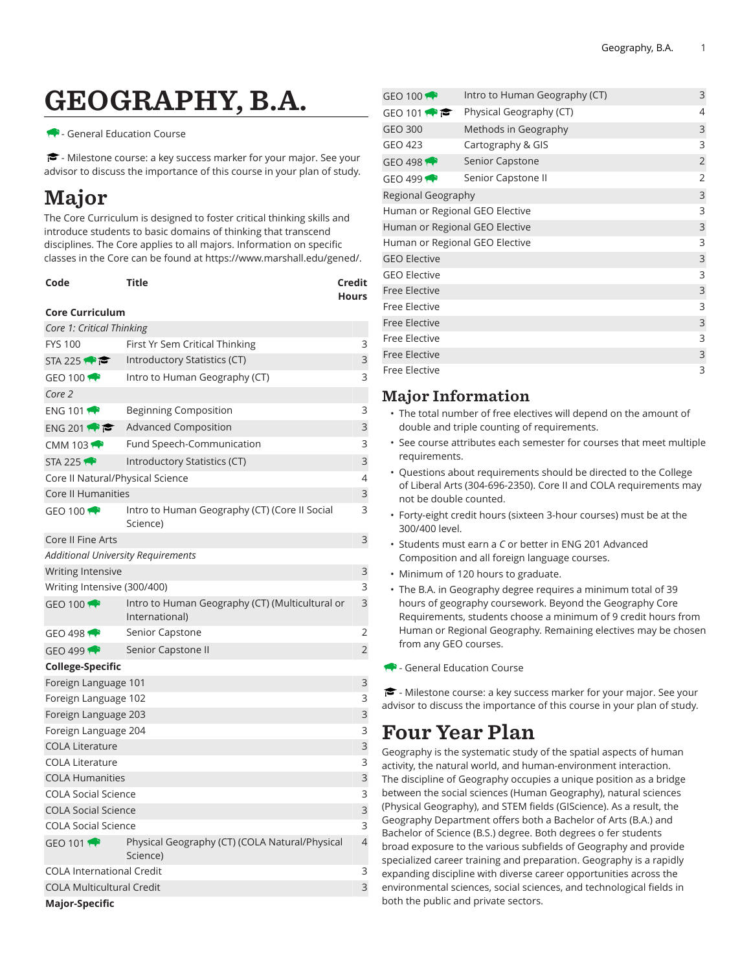# GEOGRAPHY, B.A.

#### - General Education Course

<del>■</del> - Milestone course: a key success marker for your major. See your advisor to discuss the importance of this course in your plan of study.

## Major

The Core Curriculum is designed to foster critical thinking skills and introduce students to basic domains of thinking that transcend disciplines. The Core applies to all majors. Information on specific classes in the Core can be found at [https://www.marshall.edu/gened/.](https://www.marshall.edu/gened/)

| Code | Title | Credit       |
|------|-------|--------------|
|      |       | <b>Hours</b> |

#### **Core Curriculum**

| $GEO$ 100 $\rightarrow$                   | Intro to Human Geography (CT) (Core II Social<br>Science)         | 3              |  |
|-------------------------------------------|-------------------------------------------------------------------|----------------|--|
|                                           |                                                                   |                |  |
| Core II Fine Arts                         |                                                                   | 3              |  |
| <b>Additional University Requirements</b> |                                                                   |                |  |
| Writing Intensive                         |                                                                   | 3              |  |
| Writing Intensive (300/400)               |                                                                   | 3              |  |
| GEO 100                                   | Intro to Human Geography (CT) (Multicultural or<br>International) | 3              |  |
| GEO 498 $\rightarrow$                     | Senior Capstone                                                   | 2              |  |
| $GEO$ 499                                 | Senior Capstone II                                                | $\overline{2}$ |  |
| <b>College-Specific</b>                   |                                                                   |                |  |
| Foreign Language 101                      |                                                                   | 3              |  |
| Foreign Language 102                      |                                                                   | 3              |  |
| Foreign Language 203                      |                                                                   | 3              |  |
| Foreign Language 204                      |                                                                   | 3              |  |
| <b>COLA Literature</b>                    |                                                                   | 3              |  |
| <b>COLA Literature</b>                    |                                                                   | 3              |  |
| <b>COLA Humanities</b>                    |                                                                   | 3              |  |
| <b>COLA Social Science</b>                |                                                                   | 3              |  |
| <b>COLA Social Science</b>                |                                                                   | 3              |  |
| <b>COLA Social Science</b>                |                                                                   | 3              |  |
| GEO 101 $\bigoplus$                       | Physical Geography (CT) (COLA Natural/Physical                    | $\overline{4}$ |  |
|                                           | Science)                                                          |                |  |
|                                           | <b>COLA International Credit</b>                                  |                |  |
|                                           |                                                                   | 3              |  |
| <b>COLA Multicultural Credit</b>          |                                                                   | 3              |  |

| GEO 100 $\rightarrow$          | Intro to Human Geography (CT) | 3              |
|--------------------------------|-------------------------------|----------------|
| GEO 101                        | Physical Geography (CT)       | 4              |
| <b>GEO 300</b>                 | Methods in Geography          | 3              |
| GEO 423                        | Cartography & GIS             | 3              |
| GEO 498                        | Senior Capstone               | $\overline{2}$ |
| GEO 499 $\bigtriangledown$     | Senior Capstone II            | 2              |
| Regional Geography             |                               |                |
| Human or Regional GEO Elective |                               |                |
| Human or Regional GEO Elective |                               | 3              |
| Human or Regional GEO Elective |                               |                |
| <b>GEO Elective</b>            |                               |                |
| <b>GEO Elective</b>            |                               | 3              |
| <b>Free Elective</b>           |                               |                |
| Free Elective                  |                               | 3              |
| <b>Free Elective</b>           |                               |                |
| <b>Free Elective</b>           |                               |                |
| <b>Free Elective</b>           |                               |                |
| <b>Free Elective</b>           |                               | 3              |
|                                |                               |                |

### Major Information

- The total number of free electives will depend on the amount of double and triple counting of requirements.
- See course attributes each semester for courses that meet multiple requirements.
- Questions about requirements should be directed to the College of Liberal Arts (304-696-2350). Core II and COLA requirements may not be double counted.
- Forty-eight credit hours (sixteen 3-hour courses) must be at the 300/400 level.
- Students must earn a *C* or better in ENG 201 Advanced Composition and all foreign language courses.
- Minimum of 120 hours to graduate.
- The B.A. in Geography degree requires a minimum total of 39 hours of geography coursework. Beyond the Geography Core Requirements, students choose a minimum of 9 credit hours from Human or Regional Geography. Remaining electives may be chosen from any GEO courses.
- General Education Course

 $\blacktriangleright$  - Milestone course: a key success marker for your major. See your advisor to discuss the importance of this course in your plan of study.

### Four Year Plan

Geography is the systematic study of the spatial aspects of human activity, the natural world, and human-environment interaction. The discipline of Geography occupies a unique position as a bridge between the social sciences (Human Geography), natural sciences (Physical Geography), and STEM fields (GIScience). As a result, the Geography Department offers both a Bachelor of Arts (B.A.) and Bachelor of Science (B.S.) degree. Both degrees o fer students broad exposure to the various subfields of Geography and provide specialized career training and preparation. Geography is a rapidly expanding discipline with diverse career opportunities across the environmental sciences, social sciences, and technological fields in both the public and private sectors.